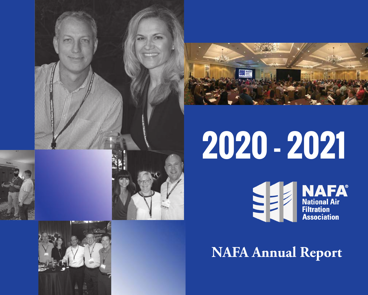





# **2020 - 2021**EE

**NAFA**<br>
National Air<br>
Filtration ...........<br>Association

# **NAFA Annual Report**

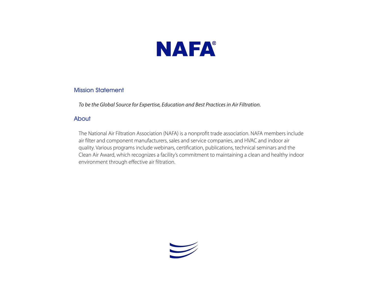

#### Mission Statement

*To be the Global Source for Expertise, Education and Best Practices in Air Filtration.*

#### About

The National Air Filtration Association (NAFA) is a nonprofit trade association. NAFA members include air filter and component manufacturers, sales and service companies, and HVAC and indoor air quality. Various programs include webinars, certification, publications, technical seminars and the Clean Air Award, which recognizes a facility's commitment to maintaining a clean and healthy indoor environment through effective air filtration.

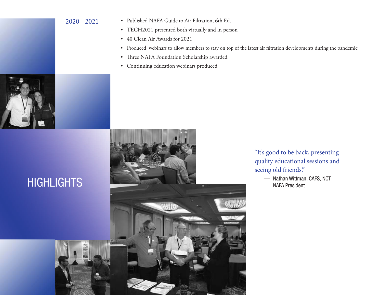#### 2020 - 2021

- Published NAFA Guide to Air Filtration, 6th Ed.
- TECH2021 presented both virtually and in person
- 40 Clean Air Awards for 2021
- Produced webinars to allow members to stay on top of the latest air filtration developments during the pandemic
- Three NAFA Foundation Scholarship awarded
- Continuing education webinars produced



"It's good to be back, presenting quality educational sessions and seeing old friends."

> — Nathan Wittman, CAFS, NCT NAFA President



### **HIGHLIGHTS**

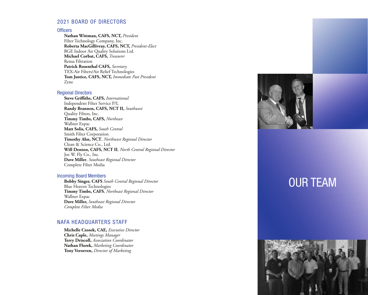#### 2021 BOARD OF DIRECTORS

#### **Officers**

**Nathan Wittman, CAFS, NCT,** *President* Filter Technology Company, Inc. **Roberta MacGillivray, CAFS, NCT,** *President-Elect* BGE Indoor Air Quality Solutions Ltd. **Michael Corbat, CAFS,** *Treasurer* Rensa Filtration **Patrick Rosenthal CAFS,** *Secretary* TEX-Air Filters/Air Relief Technologies **Tom Justice, CAFS, NCT,** *Immediate Past President* Zene

#### Regional Directors

**Steve Griffiths, CAFS,** *International* Independent Filter Service P/L **Randy Brannen, CAFS, NCT II,** *Southwest* Quality Filters, Inc. **Timmy Timbs, CAFS,** *Northeast* Wallner Expac **Matt Solis, CAFS,** *South Central* Smith Filter Corporation **Timothy Ahn, NCT**, *Northwest Regional Director* Clean & Science Co., Ltd. **Will Denton, CAFS, NCT II**, *North Central Regional Director* Joe W. Fly Co., Inc. **Dave Miller**, *Southeast Regional Director* Complete Filter Media

#### Incoming Board Members

**Bobby Singer, CAFS** *South Central Regional Director* Blue Heaven Technologies **Timmy Timbs, CAFS**, *Northeast Regional Director* Wallner Expac **Dave Miller,** *Southeast Regional Director Complete Filter Media*

#### NAFA HEADQUARTERS STAFF

**Michelle Czosek, CAE,** *Executive Director* **Chris Caple,** *Meetings Manager* **Terry Driscoll,** *Association Coordinator* **Nathan Florek,** *Marketing Coordinator* **Tony Veroeven,** *Director of Marketing*



### OUR TEAM

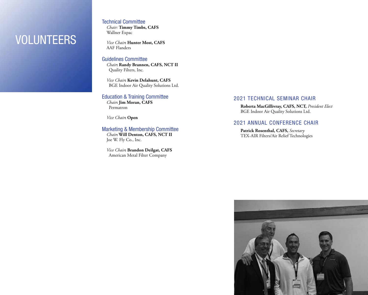### VOLUNTEERS

#### Technical Committee

*Chair:* **Timmy Timbs, CAFS** Wallner Expac

*Vice Chair***: Hunter Most, CAFS** AAF Flanders

#### Guidelines Committee

*Chair***: Randy Brannen, CAFS, NCT II** Quality Filters, Inc.

*Vice Chair***: Kevin Delahunt, CAFS** BGE Indoor Air Quality Solutions Ltd.

#### Education & Training Committee

*Chair***: Jim Moran, CAFS** Permatron

*Vice Chair***: Open**

Marketing & Membership Committee *Chair***: Will Denton, CAFS, NCT II** Joe W. Fly Co., Inc.

*Vice Chair***: Brandon Deilgat, CAFS** American Metal Filter Company

#### 2021 TECHNICAL SEMINAR CHAIR

**Roberta MacGillivray, CAFS, NCT,** *President Elect* BGE Indoor Air Quality Solutions Ltd.

#### 2021 ANNUAL CONFERENCE CHAIR

**Patrick Rosenthal, CAFS,** *Secretary* TEX-AIR Filters/Air Relief Technologies

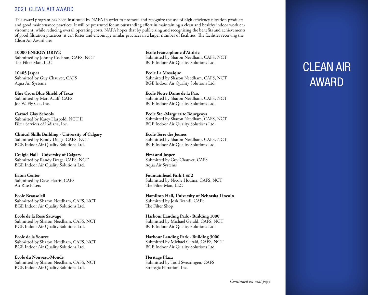#### 2021 CLEAN AIR AWARD

This award program has been instituted by NAFA in order to promote and recognize the use of high efficiency filtration products and good maintenance practices. It will be presented for an outstanding effort in maintaining a clean and healthy indoor work environment, while reducing overall operating costs. NAFA hopes that by publicizing and recognizing the benefits and achievements of good filtration practices, it can foster and encourage similar practices in a larger number of facilities. The facilities receiving the Clean Air Award are:

**10000 ENERGY DRIVE** Submitted by Johnny Cochran, CAFS, NCT The Filter Man, LLC

**10405 Jasper** Submitted by Guy Chauvet, CAFS Aqua Air Systems

**Blue Cross Blue Shield of Texas** Submitted by Matt Acuff, CAFS Joe W. Fly Co., Inc.

**Carmel Clay Schools** Submitted by Kasey Harpold, NCT II Filter Services of Indiana, Inc.

**Clinical Skills Building - University of Calgary** Submitted by Randy Drage, CAFS, NCT BGE Indoor Air Quality Solutions Ltd.

**Craigie Hall - University of Calgary** Submitted by Randy Drage, CAFS, NCT BGE Indoor Air Quality Solutions Ltd.

**Eaton Center** Submitted by Dave Harris, CAFS Air Rite Filters

**Ecole Beausoleil** Submitted by Sharon Needham, CAFS, NCT BGE Indoor Air Quality Solutions Ltd.

**Ecole de la Rose Sauvage** Submitted by Sharon Needham, CAFS, NCT BGE Indoor Air Quality Solutions Ltd.

**Ecole de la Source** Submitted by Sharon Needham, CAFS, NCT BGE Indoor Air Quality Solutions Ltd.

**Ecole du Nouveau-Monde** Submitted by Sharon Needham, CAFS, NCT BGE Indoor Air Quality Solutions Ltd.

**Ecole Francophone d'Airdrie** Submitted by Sharon Needham, CAFS, NCT BGE Indoor Air Quality Solutions Ltd.

**Ecole La Mosaique** Submitted by Sharon Needham, CAFS, NCT BGE Indoor Air Quality Solutions Ltd.

**Ecole Notre Dame de la Paix** Submitted by Sharon Needham, CAFS, NCT BGE Indoor Air Quality Solutions Ltd.

**Ecole Ste.-Marguerite Bourgeoys** Submitted by Sharon Needham, CAFS, NCT BGE Indoor Air Quality Solutions Ltd.

**Ecole Terre des Jeunes** Submitted by Sharon Needham, CAFS, NCT BGE Indoor Air Quality Solutions Ltd.

**First and Jasper** Submitted by Guy Chauvet, CAFS Aqua Air Systems

**Fountainhead Park 1 & 2** Submitted by Nicole Hodina, CAFS, NCT The Filter Man, LLC

**Hamilton Hall, University of Nebraska Lincoln** Submitted by Josh Brandl, CAFS The Filter Shop

**Harbour Landing Park - Building 1000** Submitted by Michael Gerald, CAFS, NCT BGE Indoor Air Quality Solutions Ltd.

**Harbour Landing Park - Building 3000** Submitted by Michael Gerald, CAFS, NCT BGE Indoor Air Quality Solutions Ltd.

**Heritage Plaza** Submitted by Todd Swearingen, CAFS Strategic Filtration, Inc.

# CLEAN AIR AWARD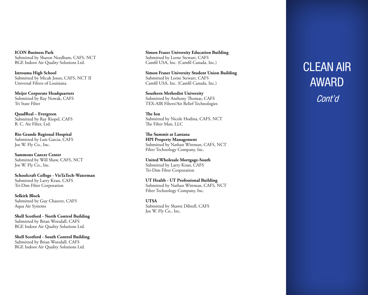**ICON Business Park** Submitted by Sharon Needham, CAFS, NCT BGE Indoor Air Quality Solutions Ltd.

**Istrouma High School** Submitted by Micah Jones, CAFS, NCT II Universal Filters of Louisiana

**Meijer Corporate Headquarters** Submitted by Ray Nowak, CAFS Tri State Filter

**QuadReal – Evergreen** Submitted by Ray Riopel, CAFS B. C. Air Filter, Ltd.

**Rio Grande Regional Hospital** Submitted by Luis Garcia, CAFS Joe W. Fly Co., Inc.

**Sammons Cancer Center** Submitted by Will Shaw, CAFS, NCT Joe W. Fly Co., Inc.

**Schoolcraft College - VisTaTech-Waterman** Submitted by Larry Krass, CAFS Tri-Dim Filter Corporation

**Selkirk Block** Submitted by Guy Chauvet, CAFS Aqua Air Systems

**Shell Scotford - North Control Building** Submitted by Brian Worsdall, CAFS BGE Indoor Air Quality Solutions Ltd.

**Shell Scotford - South Control Building** Submitted by Brian Worsdall, CAFS BGE Indoor Air Quality Solutions Ltd.

**Simon Fraser University Education Building** Submitted by Lorne Stewart, CAFS Camfil USA, Inc. (Camfil Canada, Inc.)

**Simon Fraser University Student Union Building** Submitted by Lorne Stewart, CAFS Camfil USA, Inc. (Camfil Canada, Inc.)

**Southern Methodist University** Submitted by Anthony Thomas, CAFS TEX-AIR Filters/Air Relief Technologies

**The Ion** Submitted by Nicole Hodina, CAFS, NCT The Filter Man, LLC

**The Summit at Lantana HPI Property Management** Submitted by Nathan Wittman, CAFS, NCT Filter Technology Company, Inc.

**United Wholesale Mortgage-South** Submitted by Larry Krass, CAFS Tri-Dim Filter Corporation

**UT Health - UT Professional Building** Submitted by Nathan Wittman, CAFS, NCT Filter Technology Company, Inc.

**UTSA** Submitted by Shawn Dibrell, CAFS Joe W. Fly Co., Inc.

# CLEAN AIR AWARD Cont'd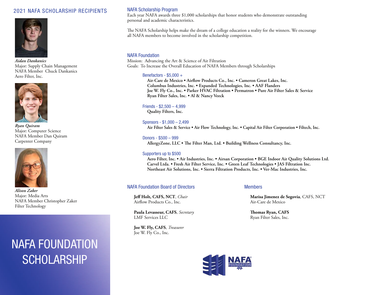#### 2021 NAFA SCHOLARSHIP RECIPIENTS



*Aidan Dankanics* Major: Supply Chain Management NAFA Member Chuck Dankanics Aero Filter, Inc.



*Ryan Quiram* Major: Computer Science NAFA Member Dan Quiram Carpenter Company



*Alison Zaker* Major: Media Arts NAFA Member Christopher Zaker Filter Technology

### NAFA FOUNDATION **SCHOLARSHIP**

#### NAFA Scholarship Program

Each year NAFA awards three \$1,000 scholarships that honor students who demonstrate outstanding personal and academic characteristics.

The NAFA Scholarship helps make the dream of a college education a reality for the winners. We encourage all NAFA members to become involved in the scholarship competition.

#### NAFA Foundation

Mission: Advancing the Art & Science of Air Filtration Goals: To Increase the Overall Education of NAFA Members through Scholarships

#### Benefactors - \$5,000 +

**Air-Care de Mexico • Airflow Products Co., Inc. • Cameron Great Lakes, Inc. Columbus Industries, Inc. • Expanded Technologies, Inc. • AAF Flanders Joe W. Fly Co., Inc. • Parker HVAC Filtration • Permatron • Pure Air Filter Sales & Service Ryan Filter Sales, Inc. • Al & Nancy Veeck**

#### Friends - \$2,500 – 4,999

**Quality Filters, Inc.**

Sponsors - \$1,000 – 2,499 **Air Filter Sales & Service • Air Flow Technology, Inc. • Capital Air Filter Corporation • Filtech, Inc.**

Donors - \$500 – 999 **AllergyZone, LLC • The Filter Man, Ltd. • Building Wellness Consultancy, Inc.**

#### Supporters up to \$500

**Aero Filter, Inc. • Air Industries, Inc. • Airsan Corporation • BGE Indoor Air Quality Solutions Ltd. Carvel Ltda. • Fresh Air Filter Service, Inc. • Green Leaf Technologies • JAS Filtration Inc. Northeast Air Solutions, Inc. • Sierra Filtration Products, Inc. • Ver-Mac Industries, Inc.**

#### NAFA Foundation Board of Directors Members

**Jeff Holt, CAFS, NCT**, *Chair* Airflow Products Co., Inc.

**Paula Levasseur, CAFS**, *Secretary* LMF Services LLC

**Joe W. Fly, CAFS**, *Treasurer* Joe W. Fly Co., Inc.

**Marisa Jimenez de Segovia**, CAFS, NCT Air-Care de Mexico

**Thomas Ryan, CAFS** Ryan Filter Sales, Inc.

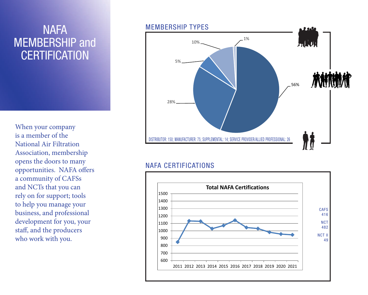# MEMBERSHIP and **CERTIFICATION**

When your company is a member of the National Air Filtration Association, membership opens the doors to many opportunities. NAFA offers a community of CAFSs and NCTs that you can rely on for support; tools to help you manage your business, and professional development for you, your staff, and the producers who work with you.

# NAFA MEMBERSHIP TYPES **Link** 1%10% 5% 56% 28% DISTRIBUTOR: 150; MANUFACTURER: 75; SUPPLEMENTAL: 14; SERVICE PROVIDER/ALLIED PROFESSIONAL: 26

### NAFA CERTIFICATIONS

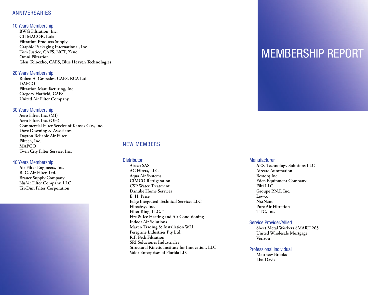#### ANNIVERSARIES

#### 10 Years Membership

**BWG Filtration, Inc. CLIMACOR, Ltda Filtration Products Supply Graphic Packaging International, Inc. Tom Justice, CAFS, NCT, Zene Omni Filtration Glen Toloczko, CAFS, Blue Heaven Technologies**

#### 20 Years Membership

**Ruben A. Cespedes, CAFS, RCA Ltd. DAFCO Filtration Manufacturing, Inc. Gregory Hatfield, CAFS United Air Filter Company**

#### 30 Years Membership

**Aero Filter, Inc. (MI) Aero Filter, Inc. (OH) Commercial Filter Service of Kansas City, Inc. Dave Downing & Associates Dayton Reliable Air Filter Filtech, Inc. MAPCO Twin City Filter Service, Inc.**

#### 40 Years Membership

**Air Filter Engineers, Inc. B. C. Air Filter, Ltd. Brauer Supply Company NuAir Filter Company, LLC Tri-Dim Filter Corporation**

#### NEW MEMBERS

#### **Distributor**

**Abaco SAS AC Filters, LLC Aqua Air Systems CIMCO Refrigeration CSP Water Treatment Danube Home Services E. H. Price Edge Integrated Technical Services LLC Filtechsys Inc. Filter King, LLC. \* Fire & Ice Heating and Air Conditioning Indoor Air Solutions Maven Trading & Installation WLL Peregrine Industries Pty Ltd. R.F. Peck Filtration SRI Soluciones Industriales Structural Kinetic Institute for Innovation, LLC Valor Enterprises of Florida LLC**

### MEMBERSHIP REPORT

#### **Manufacturer**

**AEX Technology Solutions LLC Aircare Automation Bestorq Inc. Eden Equipment Company Filti LLC Groupe P.N.F. Inc. Lev-co NxtNano Pure Air Filtration TTG, Inc.**

#### Service Provider/Allied

**Sheet Metal Workers SMART 265 United Wholesale Mortgage Verizon**

#### Professional Individual

**Matthew Brooks Lisa Davis**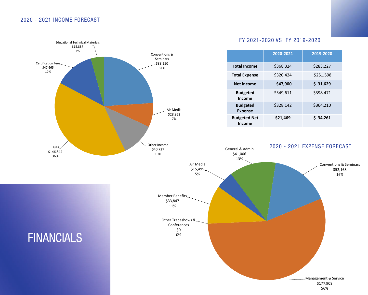#### 2020 - 2021 INCOME FORECAST

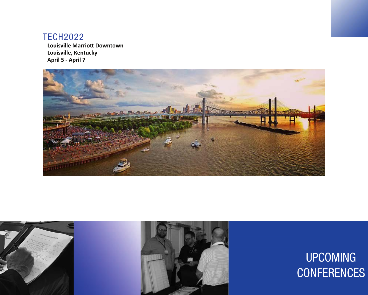### TECH2022

**Louisville Marriott Downtown Louisville, Kentucky April 5 - April 7**







# UPCOMING **CONFERENCES**